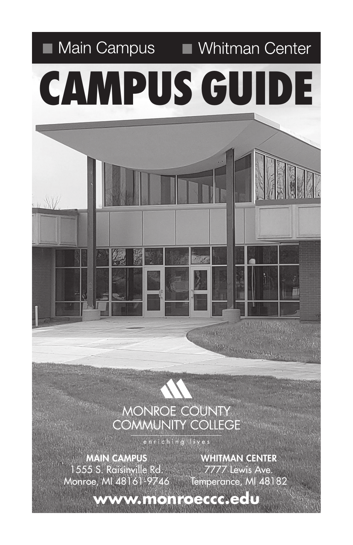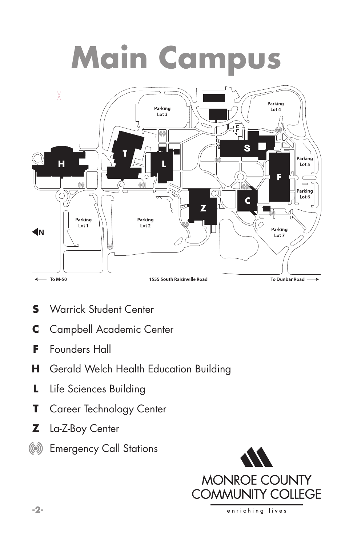# **Main Campus**



- **S** Warrick Student Center
- **C** Campbell Academic Center
- **F** Founders Hall
- **H** Gerald Welch Health Education Building
- **L** Life Sciences Building
- **T** Career Technology Center
- **Z** La-Z-Boy Center
- (6) Emergency Call Stations

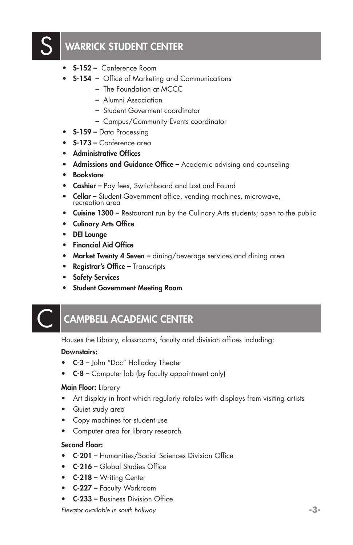# WARRICK STUDENT CENTER

- S-152 Conference Room
- S-154 Office of Marketing and Communications
	- The Foundation at MCCC
	- Alumni Association
	- Student Goverment coordinator
	- Campus/Community Events coordinator
- S-159 Data Processing
- S-173 Conference area
- Administrative Offices
- Admissions and Guidance Office Academic advising and counseling
- Bookstore
- Cashier Pay fees, Swtichboard and Lost and Found
- Cellar Student Government office, vending machines, microwave, recreation area
- Cuisine 1300 Restaurant run by the Culinary Arts students; open to the public
- Culinary Arts Office
- DEI Lounge
- Financial Aid Office
- Market Twenty 4 Seven dining/beverage services and dining area
- Registrar's Office Transcripts
- Safety Services
- Student Government Meeting Room

# **CAMPBELL ACADEMIC CENTER**

Houses the Library, classrooms, faculty and division offices including:

#### Downstairs:

- C-3 John "Doc" Holladay Theater
- C-8 Computer lab (by faculty appointment only)

#### Main Floor: Library

- Art display in front which regularly rotates with displays from visiting artists
- Quiet study area
- Copy machines for student use
- Computer area for library research

#### Second Floor:

- C-201 Humanities/Social Sciences Division Office
- **C-216 Global Studies Office**
- C-218 Writing Center
- C-227 Faculty Workroom
- C-233 Business Division Office

*Elevator available in south hallway* **-3-**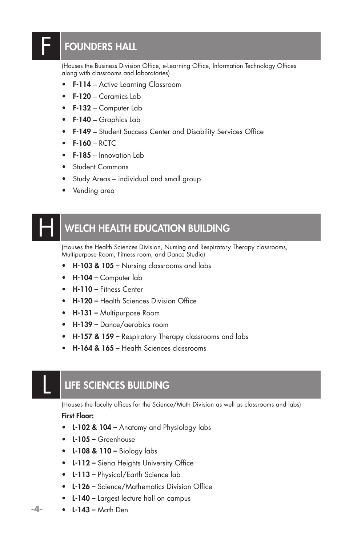# FOUNDERS HALL

F

(Houses the Business Division Office, e-Learning Office, Information Technology Offices along with classrooms and laboratories)

- F-114 Active Learning Classroom
- F-120 Ceramics Lab
- F-132 Computer Lab
- F-140 Graphics Lab
- **F-149** Student Success Center and Disability Services Office
- $\bullet$  F-160 RCTC
- F-185 Innovation Lab
- Student Commons
- Study Areas individual and small group
- Vending area

### WELCH HEALTH EDUCATION BUILDING  $\overline{\mathsf{H}}$

(Houses the Health Sciences Division, Nursing and Respiratory Therapy classrooms, Multipurpose Room, Fitness room, and Dance Studio)

- **H-103 & 105 –** Nursing classrooms and labs
- H-104 Computer lab
- H-110 Fitness Center
- H-120 Health Sciences Division Office
- H-131 Multipurpose Room
- H-139 Dance/aerobics room
- H-157 & 159 Respiratory Therapy classrooms and labs
- H-164 & 165 Health Sciences classrooms

### LIFE SCIENCES BUILDING

(Houses the faculty offices for the Science/Math Division as well as classrooms and labs) First Floor:

- L-102 & 104 Anatomy and Physiology labs
- L-105 Greenhouse
- L-108 & 110 Biology labs
- L-112 Siena Heights University Office
- L-113 Physical/Earth Science lab
- L-126 Science/Mathematics Division Office
- L-140 Largest lecture hall on campus
- L-143 Math Den

**-4-**

L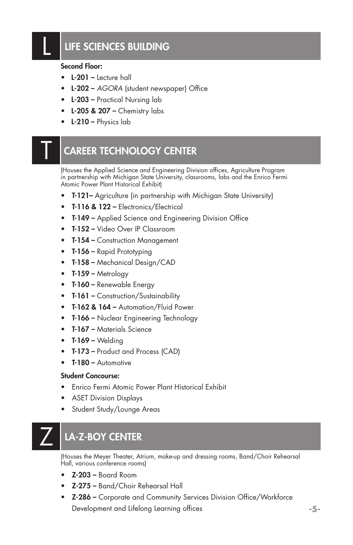# LIFE SCIENCES BUILDING

#### Second Floor:

- L-201 Lecture hall
- L-202 *AGORA* (student newspaper) Office
- L-203 Practical Nursing lab
- $\cdot$  L-205 & 207 Chemistry labs
- L-210 Physics lab

## **CAREER TECHNOLOGY CENTER**

(Houses the Applied Science and Engineering Division offices, Agriculture Program in partnership with Michigan State University, classrooms, labs and the Enrico Fermi Atomic Power Plant Historical Exhibit)

- T-121– Agriculture (in partnership with Michigan State University)
- T-116 & 122 Electronics/Electrical
- T-149 Applied Science and Engineering Division Office
- T-152 Video Over IP Classroom
- T-154 Construction Management
- T-156 Rapid Prototyping
- T-158 Mechanical Design/CAD
- T-159 Metrology
- T-160 Renewable Energy
- T-161 Construction/Sustainability
- T-162 & 164 Automation/Fluid Power
- T-166 Nuclear Engineering Technology
- T-167 Materials Science
- $\bullet$  T-169 Welding
- T-173 Product and Process (CAD)
- T-180 Automotive

#### Student Concourse:

- Enrico Fermi Atomic Power Plant Historical Exhibit
- ASET Division Displays
- Student Study/Lounge Areas

# LA-Z-BOY CENTER

(Houses the Meyer Theater, Atrium, make-up and dressing rooms, Band/Choir Rehearsal Hall, various conference rooms)

- $Z-203$  Board Room
- Z-275 Band/Choir Rehearsal Hall
- Z-286 Corporate and Community Services Division Office/Workforce Development and Lifelong Learning offices